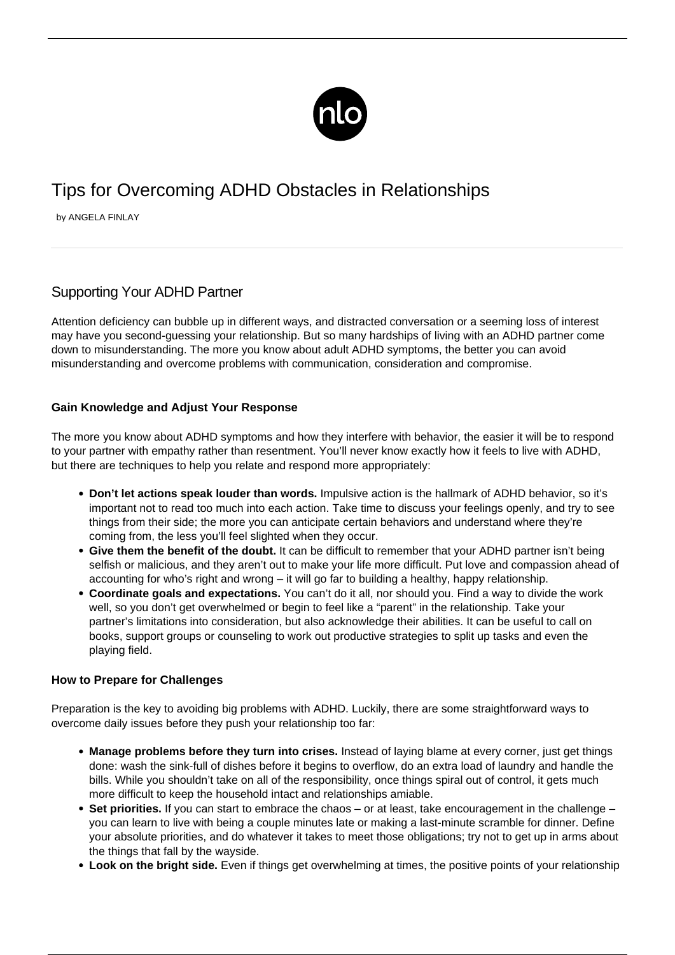

# Tips for Overcoming ADHD Obstacles in Relationships

by ANGELA FINLAY

## Supporting Your ADHD Partner

Attention deficiency can bubble up in different ways, and distracted conversation or a seeming loss of interest may have you second-guessing your relationship. But so many hardships of living with an ADHD partner come down to misunderstanding. The more you know about adult ADHD symptoms, the better you can avoid misunderstanding and overcome problems with [communication,](/social-tips-adhd/) consideration and compromise.

### **Gain Knowledge and Adjust Your Response**

The more you know about ADHD symptoms and how they interfere with behavior, the easier it will be to respond to your partner with empathy rather than resentment. You'll never know exactly how it feels to live with ADHD, but there are techniques to help you relate and respond more appropriately:

- **Don't let actions speak louder than words.** Impulsive action is the hallmark of ADHD behavior, so it's important not to read too much into each action. Take time to discuss your feelings openly, and try to see things from their side; the more you can anticipate certain behaviors and understand where they're coming from, the less you'll feel slighted when they occur.
- **Give them the benefit of the doubt.** It can be difficult to remember that your ADHD partner isn't being selfish or malicious, and they aren't out to make your life more difficult. Put love and compassion ahead of accounting for who's right and wrong – it will go far to building a healthy, happy relationship.
- **Coordinate goals and expectations.** You can't do it all, nor should you. Find a way to divide the work well, so you don't get overwhelmed or begin to feel like a "parent" in the relationship. Take your partner's limitations into consideration, but also acknowledge their abilities. It can be useful to call on books, support groups or counseling to work out productive strategies to split up tasks and even the playing field.

### **How to Prepare for Challenges**

Preparation is the key to avoiding big problems with ADHD. Luckily, there are some straightforward ways to overcome daily issues before they push your relationship too far:

- **Manage problems before they turn into crises.** Instead of laying blame at every corner, just get things done: wash the sink-full of dishes before it begins to overflow, do an extra load of laundry and handle the bills. While you shouldn't take on all of the responsibility, once things spiral out of control, it gets much more difficult to keep the household intact and relationships amiable.
- **Set priorities.** If you can start to embrace the chaos or at least, take encouragement in the challenge you can learn to live with being a couple minutes late or making a last-minute scramble for dinner. Define your absolute priorities, and do whatever it takes to meet those obligations; try not to get up in arms about the things that fall by the wayside.
- **Look on the bright side.** Even if things get overwhelming at times, the positive points of your relationship